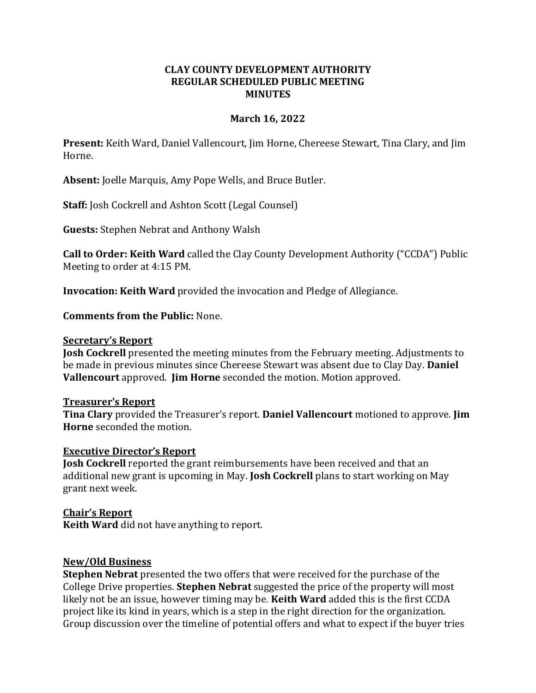## **CLAY COUNTY DEVELOPMENT AUTHORITY REGULAR SCHEDULED PUBLIC MEETING MINUTES**

## **March 16, 2022**

**Present:** Keith Ward, Daniel Vallencourt, Jim Horne, Chereese Stewart, Tina Clary, and Jim Horne.

**Absent:** Joelle Marquis, Amy Pope Wells, and Bruce Butler.

**Staff:** Josh Cockrell and Ashton Scott (Legal Counsel)

**Guests:** Stephen Nebrat and Anthony Walsh

**Call to Order: Keith Ward** called the Clay County Development Authority ("CCDA") Public Meeting to order at 4:15 PM.

**Invocation: Keith Ward** provided the invocation and Pledge of Allegiance.

**Comments from the Public:** None.

#### **Secretary's Report**

**Josh Cockrell** presented the meeting minutes from the February meeting. Adjustments to be made in previous minutes since Chereese Stewart was absent due to Clay Day. **Daniel Vallencourt** approved. **Jim Horne** seconded the motion. Motion approved.

### **Treasurer's Report**

**Tina Clary** provided the Treasurer's report. **Daniel Vallencourt** motioned to approve. **Jim Horne** seconded the motion.

### **Executive Director's Report**

**Josh Cockrell** reported the grant reimbursements have been received and that an additional new grant is upcoming in May. **Josh Cockrell** plans to start working on May grant next week.

### **Chair's Report**

**Keith Ward** did not have anything to report.

### **New/Old Business**

**Stephen Nebrat** presented the two offers that were received for the purchase of the College Drive properties. **Stephen Nebrat** suggested the price of the property will most likely not be an issue, however timing may be. **Keith Ward** added this is the first CCDA project like its kind in years, which is a step in the right direction for the organization. Group discussion over the timeline of potential offers and what to expect if the buyer tries